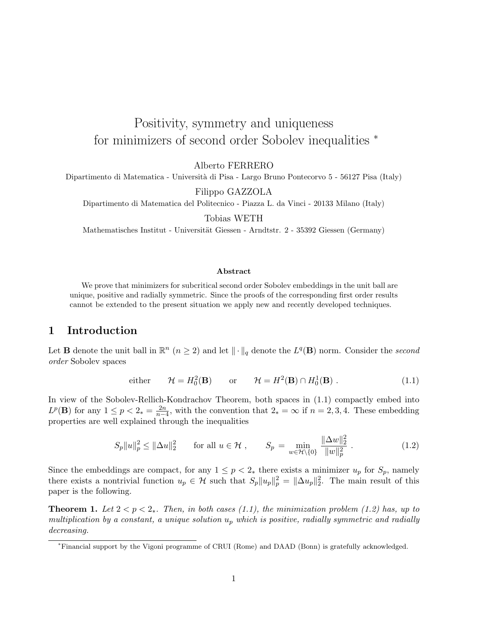# Positivity, symmetry and uniqueness for minimizers of second order Sobolev inequalities  $*$

Alberto FERRERO

Dipartimento di Matematica - Università di Pisa - Largo Bruno Pontecorvo 5 - 56127 Pisa (Italy)

Filippo GAZZOLA

Dipartimento di Matematica del Politecnico - Piazza L. da Vinci - 20133 Milano (Italy)

Tobias WETH

Mathematisches Institut - Universität Giessen - Arndtstr. 2 - 35392 Giessen (Germany)

#### Abstract

We prove that minimizers for subcritical second order Sobolev embeddings in the unit ball are unique, positive and radially symmetric. Since the proofs of the corresponding first order results cannot be extended to the present situation we apply new and recently developed techniques.

## 1 Introduction

Let **B** denote the unit ball in  $\mathbb{R}^n$   $(n \geq 2)$  and let  $\|\cdot\|_q$  denote the L<sup>q</sup>(**B**) norm. Consider the second order Sobolev spaces

either 
$$
\mathcal{H} = H_0^2(\mathbf{B})
$$
 or  $\mathcal{H} = H^2(\mathbf{B}) \cap H_0^1(\mathbf{B})$ . (1.1)

In view of the Sobolev-Rellich-Kondrachov Theorem, both spaces in (1.1) compactly embed into  $L^p(\mathbf{B})$  for any  $1 \le p < 2_* = \frac{2n}{n-2}$  $\frac{2n}{n-4}$ , with the convention that  $2_* = \infty$  if  $n = 2, 3, 4$ . These embedding properties are well explained through the inequalities

$$
S_p \|u\|_p^2 \le \|\Delta u\|_2^2 \qquad \text{for all } u \in \mathcal{H} \;, \qquad S_p = \min_{w \in \mathcal{H} \backslash \{0\}} \frac{\|\Delta w\|_2^2}{\|w\|_p^2} \;.
$$
 (1.2)

Since the embeddings are compact, for any  $1 \leq p < 2_*$  there exists a minimizer  $u_p$  for  $S_p$ , namely there exists a nontrivial function  $u_p \in \mathcal{H}$  such that  $S_p ||u_p||_p^2 = ||\Delta u_p||_2^2$ . The main result of this paper is the following.

**Theorem 1.** Let  $2 < p < 2<sub>*</sub>$ . Then, in both cases (1.1), the minimization problem (1.2) has, up to multiplication by a constant, a unique solution  $u_p$  which is positive, radially symmetric and radially decreasing.

<sup>∗</sup>Financial support by the Vigoni programme of CRUI (Rome) and DAAD (Bonn) is gratefully acknowledged.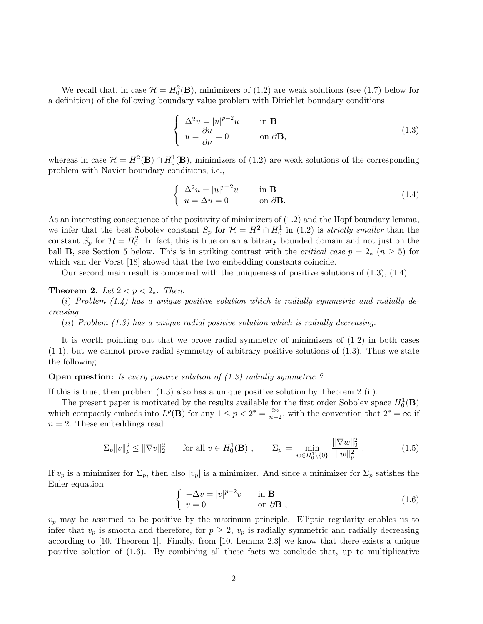We recall that, in case  $\mathcal{H} = H_0^2(\mathbf{B})$ , minimizers of (1.2) are weak solutions (see (1.7) below for a definition) of the following boundary value problem with Dirichlet boundary conditions

$$
\begin{cases}\n\Delta^2 u = |u|^{p-2}u & \text{in } \mathbf{B} \\
u = \frac{\partial u}{\partial \nu} = 0 & \text{on } \partial \mathbf{B},\n\end{cases}
$$
\n(1.3)

whereas in case  $\mathcal{H} = H^2(\mathbf{B}) \cap H_0^1(\mathbf{B})$ , minimizers of (1.2) are weak solutions of the corresponding problem with Navier boundary conditions, i.e.,

$$
\begin{cases}\n\Delta^2 u = |u|^{p-2}u & \text{in } \mathbf{B} \\
u = \Delta u = 0 & \text{on } \partial \mathbf{B}.\n\end{cases}
$$
\n(1.4)

As an interesting consequence of the positivity of minimizers of (1.2) and the Hopf boundary lemma, we infer that the best Sobolev constant  $S_p$  for  $\mathcal{H} = H^2 \cap H_0^1$  in (1.2) is *strictly smaller* than the constant  $S_p$  for  $\mathcal{H} = H_0^2$ . In fact, this is true on an arbitrary bounded domain and not just on the ball **B**, see Section 5 below. This is in striking contrast with the *critical case*  $p = 2_*$  ( $n \ge 5$ ) for which van der Vorst [18] showed that the two embedding constants coincide.

Our second main result is concerned with the uniqueness of positive solutions of (1.3), (1.4).

#### Theorem 2. Let  $2 < p < 2_*$ . Then:

(i) Problem  $(1.4)$  has a unique positive solution which is radially symmetric and radially decreasing.

(ii) Problem (1.3) has a unique radial positive solution which is radially decreasing.

It is worth pointing out that we prove radial symmetry of minimizers of (1.2) in both cases  $(1.1)$ , but we cannot prove radial symmetry of arbitrary positive solutions of  $(1.3)$ . Thus we state the following

**Open question:** Is every positive solution of  $(1.3)$  radially symmetric ?

If this is true, then problem (1.3) also has a unique positive solution by Theorem 2 (ii).

The present paper is motivated by the results available for the first order Sobolev space  $H_0^1(\mathbf{B})$ which compactly embeds into  $L^p(\mathbf{B})$  for any  $1 \leq p < 2^* = \frac{2n}{n-1}$  $\frac{2n}{n-2}$ , with the convention that  $2^* = \infty$  if  $n = 2$ . These embeddings read

$$
\Sigma_p \|v\|_p^2 \le \|\nabla v\|_2^2 \qquad \text{for all } v \in H_0^1(\mathbf{B}) , \qquad \Sigma_p = \min_{w \in H_0^1 \setminus \{0\}} \frac{\|\nabla w\|_2^2}{\|w\|_p^2} . \tag{1.5}
$$

If  $v_p$  is a minimizer for  $\Sigma_p$ , then also  $|v_p|$  is a minimizer. And since a minimizer for  $\Sigma_p$  satisfies the Euler equation ½

$$
\begin{cases}\n-\Delta v = |v|^{p-2}v & \text{in } \mathbf{B} \\
v = 0 & \text{on } \partial \mathbf{B}\n\end{cases}
$$
\n(1.6)

 $v_p$  may be assumed to be positive by the maximum principle. Elliptic regularity enables us to infer that  $v_p$  is smooth and therefore, for  $p \geq 2$ ,  $v_p$  is radially symmetric and radially decreasing according to [10, Theorem 1]. Finally, from [10, Lemma 2.3] we know that there exists a unique positive solution of (1.6). By combining all these facts we conclude that, up to multiplicative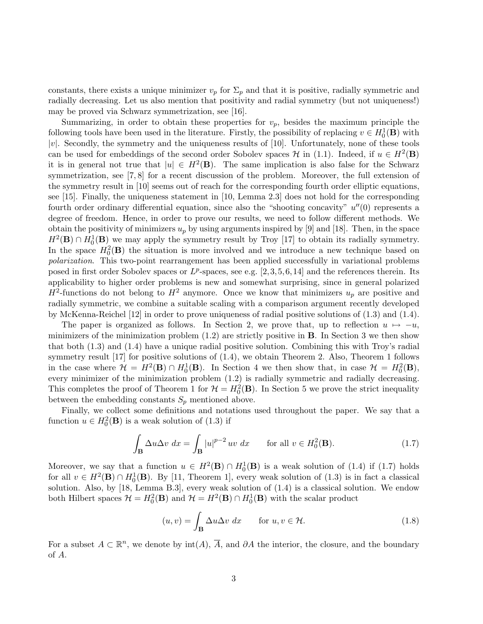constants, there exists a unique minimizer  $v_p$  for  $\Sigma_p$  and that it is positive, radially symmetric and radially decreasing. Let us also mention that positivity and radial symmetry (but not uniqueness!) may be proved via Schwarz symmetrization, see [16].

Summarizing, in order to obtain these properties for  $v_p$ , besides the maximum principle the following tools have been used in the literature. Firstly, the possibility of replacing  $v \in H_0^1(\mathbf{B})$  with  $|v|$ . Secondly, the symmetry and the uniqueness results of  $[10]$ . Unfortunately, none of these tools can be used for embeddings of the second order Sobolev spaces  $\mathcal H$  in (1.1). Indeed, if  $u \in H^2(\mathbf{B})$ it is in general not true that  $|u| \in H^2(\mathbf{B})$ . The same implication is also false for the Schwarz symmetrization, see [7, 8] for a recent discussion of the problem. Moreover, the full extension of the symmetry result in [10] seems out of reach for the corresponding fourth order elliptic equations, see [15]. Finally, the uniqueness statement in [10, Lemma 2.3] does not hold for the corresponding fourth order ordinary differential equation, since also the "shooting concavity"  $u''(0)$  represents a degree of freedom. Hence, in order to prove our results, we need to follow different methods. We obtain the positivity of minimizers  $u_p$  by using arguments inspired by [9] and [18]. Then, in the space  $H^2(\mathbf{B}) \cap H_0^1(\mathbf{B})$  we may apply the symmetry result by Troy [17] to obtain its radially symmetry. In the space  $H_0^2(\mathbf{B})$  the situation is more involved and we introduce a new technique based on polarization. This two-point rearrangement has been applied successfully in variational problems posed in first order Sobolev spaces or  $L^p$ -spaces, see e.g. [2,3,5,6,14] and the references therein. Its applicability to higher order problems is new and somewhat surprising, since in general polarized  $H^2$ -functions do not belong to  $H^2$  anymore. Once we know that minimizers  $u_p$  are positive and radially symmetric, we combine a suitable scaling with a comparison argument recently developed by McKenna-Reichel [12] in order to prove uniqueness of radial positive solutions of (1.3) and (1.4).

The paper is organized as follows. In Section 2, we prove that, up to reflection  $u \mapsto -u$ , minimizers of the minimization problem  $(1.2)$  are strictly positive in **B**. In Section 3 we then show that both (1.3) and (1.4) have a unique radial positive solution. Combining this with Troy's radial symmetry result [17] for positive solutions of  $(1.4)$ , we obtain Theorem 2. Also, Theorem 1 follows in the case where  $\mathcal{H} = H^2(\mathbf{B}) \cap H_0^1(\mathbf{B})$ . In Section 4 we then show that, in case  $\mathcal{H} = H_0^2(\mathbf{B})$ , every minimizer of the minimization problem (1.2) is radially symmetric and radially decreasing. This completes the proof of Theorem 1 for  $\mathcal{H} = H_0^2(\mathbf{B})$ . In Section 5 we prove the strict inequality between the embedding constants  $S_p$  mentioned above.

Finally, we collect some definitions and notations used throughout the paper. We say that a function  $u \in H_0^2(\mathbf{B})$  is a weak solution of (1.3) if

$$
\int_{\mathbf{B}} \Delta u \Delta v \, dx = \int_{\mathbf{B}} |u|^{p-2} \, uv \, dx \qquad \text{for all } v \in H_0^2(\mathbf{B}).\tag{1.7}
$$

Moreover, we say that a function  $u \in H^2(\mathbf{B}) \cap H_0^1(\mathbf{B})$  is a weak solution of (1.4) if (1.7) holds for all  $v \in H^2(\mathbf{B}) \cap H_0^1(\mathbf{B})$ . By [11, Theorem 1], every weak solution of (1.3) is in fact a classical solution. Also, by [18, Lemma B.3], every weak solution of (1.4) is a classical solution. We endow both Hilbert spaces  $\mathcal{H} = H_0^2(\mathbf{B})$  and  $\mathcal{H} = H^2(\mathbf{B}) \cap H_0^1(\mathbf{B})$  with the scalar product

$$
(u, v) = \int_{\mathbf{B}} \Delta u \Delta v \, dx \qquad \text{for } u, v \in \mathcal{H}.
$$
 (1.8)

For a subset  $A \subset \mathbb{R}^n$ , we denote by  $\text{int}(A)$ ,  $\overline{A}$ , and  $\partial A$  the interior, the closure, and the boundary of A.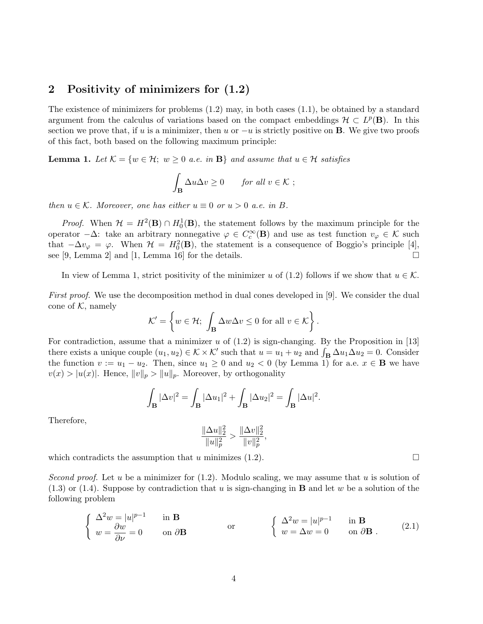# 2 Positivity of minimizers for (1.2)

The existence of minimizers for problems  $(1.2)$  may, in both cases  $(1.1)$ , be obtained by a standard argument from the calculus of variations based on the compact embeddings  $\mathcal{H} \subset L^p(\mathbf{B})$ . In this section we prove that, if u is a minimizer, then u or  $-u$  is strictly positive on **B**. We give two proofs of this fact, both based on the following maximum principle:

**Lemma 1.** Let  $\mathcal{K} = \{w \in \mathcal{H}; w \geq 0 \text{ a.e. in } \mathbf{B}\}\$ and assume that  $u \in \mathcal{H}$  satisfies

$$
\int_{\mathbf{B}} \Delta u \Delta v \ge 0 \quad \text{for all } v \in \mathcal{K} ;
$$

then  $u \in \mathcal{K}$ . Moreover, one has either  $u \equiv 0$  or  $u > 0$  a.e. in B.

*Proof.* When  $\mathcal{H} = H^2(\mathbf{B}) \cap H_0^1(\mathbf{B})$ , the statement follows by the maximum principle for the operator  $-\Delta$ : take an arbitrary nonnegative  $\varphi \in C_c^{\infty}(\mathbf{B})$  and use as test function  $v_{\varphi} \in \mathcal{K}$  such that  $-\Delta v_{\varphi} = \varphi$ . When  $\mathcal{H} = H_0^2(\mathbf{B})$ , the statement is a consequence of Boggio's principle [4], see [9, Lemma 2] and [1, Lemma 16] for the details.  $\Box$ 

In view of Lemma 1, strict positivity of the minimizer u of (1.2) follows if we show that  $u \in \mathcal{K}$ .

First proof. We use the decomposition method in dual cones developed in [9]. We consider the dual cone of  $K$ , namely ½

$$
\mathcal{K}' = \left\{ w \in \mathcal{H}; \int_{\mathbf{B}} \Delta w \Delta v \le 0 \text{ for all } v \in \mathcal{K} \right\}.
$$

For contradiction, assume that a minimizer  $u$  of  $(1.2)$  is sign-changing. By the Proposition in [13] For contradiction, assume that a minimizer u of (1.2) is sign-changing. By the Proposition in [15] there exists a unique couple  $(u_1, u_2) \in K \times K'$  such that  $u = u_1 + u_2$  and  $\int_{\mathbf{B}} \Delta u_1 \Delta u_2 = 0$ . Consider the function  $v := u_1 - u_2$ . Then, since  $u_1 \geq 0$  and  $u_2 < 0$  (by Lemma 1) for a.e.  $x \in \mathbf{B}$  we have  $v(x) > |u(x)|$ . Hence,  $||v||_p > ||u||_p$ . Moreover, by orthogonality

$$
\int_{\mathbf{B}} |\Delta v|^2 = \int_{\mathbf{B}} |\Delta u_1|^2 + \int_{\mathbf{B}} |\Delta u_2|^2 = \int_{\mathbf{B}} |\Delta u|^2.
$$

Therefore,

$$
\frac{\|\Delta u\|_2^2}{\|u\|_p^2} > \frac{\|\Delta v\|_2^2}{\|v\|_p^2},
$$

which contradicts the assumption that u minimizes (1.2).  $\Box$ 

Second proof. Let u be a minimizer for  $(1.2)$ . Modulo scaling, we may assume that u is solution of  $(1.3)$  or  $(1.4)$ . Suppose by contradiction that u is sign-changing in **B** and let w be a solution of the following problem

$$
\begin{cases}\n\Delta^2 w = |u|^{p-1} & \text{in } \mathbf{B} \\
w = \frac{\partial w}{\partial \nu} = 0 & \text{on } \partial \mathbf{B}\n\end{cases}\n\text{or}\n\begin{cases}\n\Delta^2 w = |u|^{p-1} & \text{in } \mathbf{B} \\
w = \Delta w = 0 & \text{on } \partial \mathbf{B}\n\end{cases} (2.1)
$$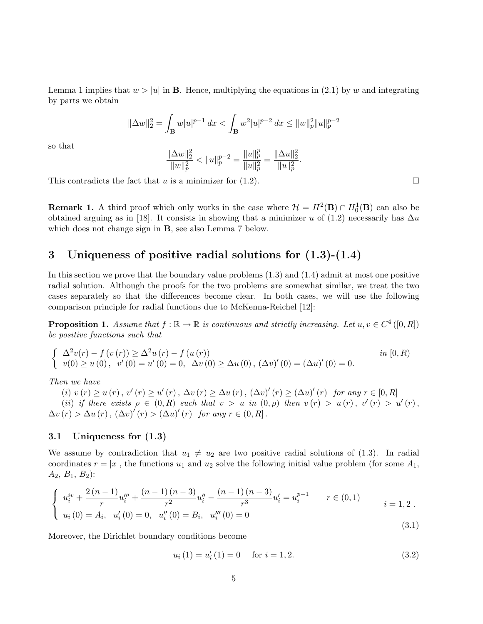Lemma 1 implies that  $w > |u|$  in **B**. Hence, multiplying the equations in (2.1) by w and integrating by parts we obtain

$$
\|\Delta w\|_2^2 = \int_{\mathbf{B}} w|u|^{p-1} dx < \int_{\mathbf{B}} w^2|u|^{p-2} dx \le \|w\|_p^2 \|u\|_p^{p-2}
$$

so that

$$
\frac{\|\Delta w\|_2^2}{\|w\|_p^2} < \|u\|_p^{p-2} = \frac{\|u\|_p^p}{\|u\|_p^2} = \frac{\|\Delta u\|_2^2}{\|u\|_p^2}
$$

.

This contradicts the fact that u is a minimizer for  $(1.2)$ .

**Remark 1.** A third proof which only works in the case where  $\mathcal{H} = H^2(\mathbf{B}) \cap H_0^1(\mathbf{B})$  can also be obtained arguing as in [18]. It consists in showing that a minimizer u of (1.2) necessarily has  $\Delta u$ which does not change sign in B, see also Lemma 7 below.

# 3 Uniqueness of positive radial solutions for (1.3)-(1.4)

In this section we prove that the boundary value problems (1.3) and (1.4) admit at most one positive radial solution. Although the proofs for the two problems are somewhat similar, we treat the two cases separately so that the differences become clear. In both cases, we will use the following comparison principle for radial functions due to McKenna-Reichel [12]:

**Proposition 1.** Assume that  $f : \mathbb{R} \to \mathbb{R}$  is continuous and strictly increasing. Let  $u, v \in C^4([0, R])$ be positive functions such that

$$
\begin{cases}\n\Delta^2 v(r) - f(v(r)) \geq \Delta^2 u(r) - f(u(r)) & \text{in } [0, R) \\
v(0) \geq u(0), \ v'(0) = u'(0) = 0, \ \Delta v(0) \geq \Delta u(0), \ (\Delta v)'(0) = (\Delta u)'(0) = 0.\n\end{cases}
$$

Then we have

(i)  $v(r) \ge u(r)$ ,  $v'(r) \ge u'(r)$ ,  $\Delta v(r) \ge \Delta u(r)$ ,  $(\Delta v)'(r) \ge (\Delta u)'(r)$  for any  $r \in [0, R]$ (ii) if there exists  $\rho \in (0, R)$  such that  $v > u$  in  $(0, \rho)$  then  $v(r) > u(r)$ ,  $v'(r) > u'(r)$ ,  $\Delta v(r) > \Delta u(r)$ ,  $(\Delta v)'(r) > (\Delta u)'(r)$  for any  $r \in (0, R]$ .

#### 3.1 Uniqueness for (1.3)

We assume by contradiction that  $u_1 \neq u_2$  are two positive radial solutions of (1.3). In radial coordinates  $r = |x|$ , the functions  $u_1$  and  $u_2$  solve the following initial value problem (for some  $A_1$ ,  $A_2, B_1, B_2$ :

$$
\begin{cases}\n u_i^{iv} + \frac{2(n-1)}{r} u_i''' + \frac{(n-1)(n-3)}{r^2} u_i'' - \frac{(n-1)(n-3)}{r^3} u_i' = u_i^{p-1} & r \in (0,1) \\
 u_i(0) = A_i, u_i'(0) = 0, u_i''(0) = B_i, u_i'''(0) = 0\n\end{cases}
$$
\n(3.1)

Moreover, the Dirichlet boundary conditions become

$$
u_i(1) = u'_i(1) = 0 \quad \text{for } i = 1, 2. \tag{3.2}
$$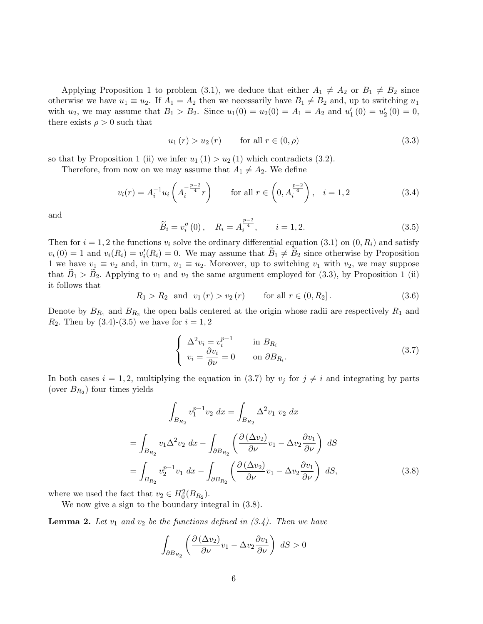Applying Proposition 1 to problem (3.1), we deduce that either  $A_1 \neq A_2$  or  $B_1 \neq B_2$  since otherwise we have  $u_1 \equiv u_2$ . If  $A_1 = A_2$  then we necessarily have  $B_1 \neq B_2$  and, up to switching  $u_1$ with  $u_2$ , we may assume that  $B_1 > B_2$ . Since  $u_1(0) = u_2(0) = A_1 = A_2$  and  $u'_1(0) = u'_2(0) = 0$ , there exists  $\rho > 0$  such that

$$
u_1(r) > u_2(r) \qquad \text{for all } r \in (0, \rho)
$$
\n
$$
(3.3)
$$

so that by Proposition 1 (ii) we infer  $u_1(1) > u_2(1)$  which contradicts (3.2).

Therefore, from now on we may assume that  $A_1 \neq A_2$ . We define

$$
v_i(r) = A_i^{-1} u_i \left( A_i^{-\frac{p-2}{4}} r \right) \qquad \text{for all } r \in \left( 0, A_i^{\frac{p-2}{4}} \right), \quad i = 1, 2 \tag{3.4}
$$

and

$$
\widetilde{B}_i = v_i''(0), \quad R_i = A_i^{\frac{p-2}{4}}, \qquad i = 1, 2. \tag{3.5}
$$

Then for  $i = 1, 2$  the functions  $v_i$  solve the ordinary differential equation (3.1) on  $(0, R_i)$  and satisfy  $v_i(0) = 1$  and  $v_i(R_i) = v'_i(R_i) = 0$ . We may assume that  $\widetilde{B}_1 \neq \widetilde{B}_2$  since otherwise by Proposition 1 we have  $v_1 \equiv v_2$  and, in turn,  $u_1 \equiv u_2$ . Moreover, up to switching  $v_1$  with  $v_2$ , we may suppose that  $B_1 > B_2$ . Applying to  $v_1$  and  $v_2$  the same argument employed for (3.3), by Proposition 1 (ii) it follows that

$$
R_1 > R_2
$$
 and  $v_1(r) > v_2(r)$  for all  $r \in (0, R_2]$ . (3.6)

Denote by  $B_{R_1}$  and  $B_{R_2}$  the open balls centered at the origin whose radii are respectively  $R_1$  and  $R_2$ . Then by (3.4)-(3.5) we have for  $i = 1, 2$ 

$$
\begin{cases}\n\Delta^2 v_i = v_i^{p-1} & \text{in } B_{R_i} \\
v_i = \frac{\partial v_i}{\partial \nu} = 0 & \text{on } \partial B_{R_i}.\n\end{cases}
$$
\n(3.7)

In both cases  $i = 1, 2$ , multiplying the equation in (3.7) by  $v_j$  for  $j \neq i$  and integrating by parts (over  $B_{R_2}$ ) four times yields

$$
\int_{B_{R_2}} v_1^{p-1} v_2 \, dx = \int_{B_{R_2}} \Delta^2 v_1 \ v_2 \, dx
$$

$$
= \int_{B_{R_2}} v_1 \Delta^2 v_2 \, dx - \int_{\partial B_{R_2}} \left( \frac{\partial (\Delta v_2)}{\partial \nu} v_1 - \Delta v_2 \frac{\partial v_1}{\partial \nu} \right) \, dS
$$

$$
= \int_{B_{R_2}} v_2^{p-1} v_1 \, dx - \int_{\partial B_{R_2}} \left( \frac{\partial (\Delta v_2)}{\partial \nu} v_1 - \Delta v_2 \frac{\partial v_1}{\partial \nu} \right) \, dS,
$$
(3.8)

where we used the fact that  $v_2 \in H_0^2(B_{R_2})$ .

We now give a sign to the boundary integral in (3.8).

**Lemma 2.** Let  $v_1$  and  $v_2$  be the functions defined in  $(3.4)$ . Then we have

$$
\int_{\partial B_{R_2}} \left( \frac{\partial (\Delta v_2)}{\partial \nu} v_1 - \Delta v_2 \frac{\partial v_1}{\partial \nu} \right) dS > 0
$$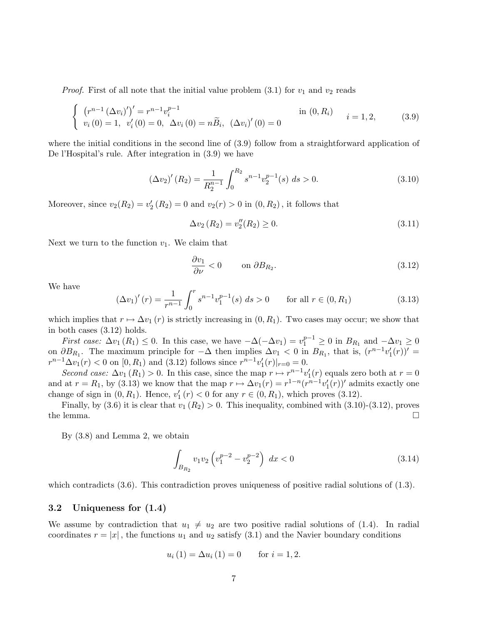*Proof.* First of all note that the initial value problem  $(3.1)$  for  $v_1$  and  $v_2$  reads

$$
\begin{cases}\n(r^{n-1} (\Delta v_i)')' = r^{n-1} v_i^{p-1} & \text{in } (0, R_i) \\
v_i (0) = 1, \ v_i' (0) = 0, \ \Delta v_i (0) = n \tilde{B}_i, \ (\Delta v_i)' (0) = 0 & i = 1, 2,\n\end{cases}
$$
\n(3.9)

where the initial conditions in the second line of  $(3.9)$  follow from a straightforward application of De l'Hospital's rule. After integration in (3.9) we have

$$
\left(\Delta v_2\right)'(R_2) = \frac{1}{R_2^{n-1}} \int_0^{R_2} s^{n-1} v_2^{p-1}(s) \ ds > 0. \tag{3.10}
$$

Moreover, since  $v_2(R_2) = v'_2(R_2) = 0$  and  $v_2(r) > 0$  in  $(0, R_2)$ , it follows that

$$
\Delta v_2(R_2) = v_2''(R_2) \ge 0. \tag{3.11}
$$

Next we turn to the function  $v_1$ . We claim that

$$
\frac{\partial v_1}{\partial \nu} < 0 \qquad \text{on } \partial B_{R_2}.\tag{3.12}
$$

We have

$$
\left(\Delta v_1\right)'(r) = \frac{1}{r^{n-1}} \int_0^r s^{n-1} v_1^{p-1}(s) \, ds > 0 \qquad \text{for all } r \in (0, R_1) \tag{3.13}
$$

which implies that  $r \mapsto \Delta v_1(r)$  is strictly increasing in  $(0, R_1)$ . Two cases may occur; we show that in both cases (3.12) holds.

First case:  $\Delta v_1(R_1) \leq 0$ . In this case, we have  $-\Delta(-\Delta v_1) = v_1^{p-1} \geq 0$  in  $B_{R_1}$  and  $-\Delta v_1 \geq 0$ on  $\partial B_{R_1}$ . The maximum principle for  $-\Delta$  then implies  $\Delta v_1 < 0$  in  $B_{R_1}$ , that is,  $(r^{n-1}v'_1(r))'$  =  $r^{n-1}\Delta v_1(r) < 0$  on  $[0, R_1)$  and  $(3.12)$  follows since  $r^{n-1}v'_1(r)|_{r=0} = 0$ .

Second case:  $\Delta v_1(R_1) > 0$ . In this case, since the map  $r \mapsto r^{n-1}v'_1(r)$  equals zero both at  $r = 0$ and at  $r = R_1$ , by (3.13) we know that the map  $r \mapsto \Delta v_1(r) = r^{1-n} (r^{n-1} v_1'(r))'$  admits exactly one change of sign in  $(0, R_1)$ . Hence,  $v'_1(r) < 0$  for any  $r \in (0, R_1)$ , which proves  $(3.12)$ .

Finally, by (3.6) it is clear that  $v_1 (R_2) > 0$ . This inequality, combined with (3.10)-(3.12), proves the lemma.  $\Box$ 

By (3.8) and Lemma 2, we obtain

$$
\int_{B_{R_2}} v_1 v_2 \left( v_1^{p-2} - v_2^{p-2} \right) dx < 0 \tag{3.14}
$$

which contradicts (3.6). This contradiction proves uniqueness of positive radial solutions of (1.3).

#### 3.2 Uniqueness for (1.4)

We assume by contradiction that  $u_1 \neq u_2$  are two positive radial solutions of (1.4). In radial coordinates  $r = |x|$ , the functions  $u_1$  and  $u_2$  satisfy (3.1) and the Navier boundary conditions

$$
u_i(1) = \Delta u_i(1) = 0
$$
 for  $i = 1, 2$ .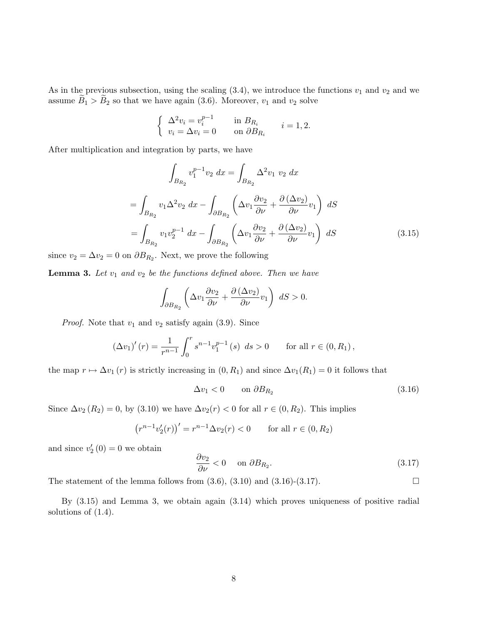As in the previous subsection, using the scaling  $(3.4)$ , we introduce the functions  $v_1$  and  $v_2$  and we assume  $\widetilde{B}_1 > \widetilde{B}_2$  so that we have again (3.6). Moreover,  $v_1$  and  $v_2$  solve

$$
\begin{cases} \Delta^2 v_i = v_i^{p-1} & \text{in } B_{R_i} \\ v_i = \Delta v_i = 0 & \text{on } \partial B_{R_i} \end{cases} \quad i = 1, 2.
$$

After multiplication and integration by parts, we have

$$
\int_{B_{R_2}} v_1^{p-1} v_2 \, dx = \int_{B_{R_2}} \Delta^2 v_1 \, v_2 \, dx
$$
\n
$$
= \int_{B_{R_2}} v_1 \Delta^2 v_2 \, dx - \int_{\partial B_{R_2}} \left( \Delta v_1 \frac{\partial v_2}{\partial \nu} + \frac{\partial (\Delta v_2)}{\partial \nu} v_1 \right) \, dS
$$
\n
$$
= \int_{B_{R_2}} v_1 v_2^{p-1} \, dx - \int_{\partial B_{R_2}} \left( \Delta v_1 \frac{\partial v_2}{\partial \nu} + \frac{\partial (\Delta v_2)}{\partial \nu} v_1 \right) \, dS \tag{3.15}
$$

since  $v_2 = \Delta v_2 = 0$  on  $\partial B_{R_2}$ . Next, we prove the following

**Lemma 3.** Let  $v_1$  and  $v_2$  be the functions defined above. Then we have

$$
\int_{\partial B_{R_2}} \left( \Delta v_1 \frac{\partial v_2}{\partial \nu} + \frac{\partial (\Delta v_2)}{\partial \nu} v_1 \right) dS > 0.
$$

*Proof.* Note that  $v_1$  and  $v_2$  satisfy again (3.9). Since

$$
(\Delta v_1)'(r) = \frac{1}{r^{n-1}} \int_0^r s^{n-1} v_1^{p-1}(s) \ ds > 0 \quad \text{for all } r \in (0, R_1),
$$

the map  $r \mapsto \Delta v_1(r)$  is strictly increasing in  $(0, R_1)$  and since  $\Delta v_1(R_1) = 0$  it follows that

$$
\Delta v_1 < 0 \qquad \text{on } \partial B_{R_2} \tag{3.16}
$$

Since  $\Delta v_2(R_2) = 0$ , by (3.10) we have  $\Delta v_2(r) < 0$  for all  $r \in (0, R_2)$ . This implies

$$
(r^{n-1}v'_2(r))' = r^{n-1}\Delta v_2(r) < 0
$$
 for all  $r \in (0, R_2)$ 

and since  $v_2'(0) = 0$  we obtain

$$
\frac{\partial v_2}{\partial \nu} < 0 \quad \text{on } \partial B_{R_2}.\tag{3.17}
$$

The statement of the lemma follows from  $(3.6)$ ,  $(3.10)$  and  $(3.16)-(3.17)$ .

By (3.15) and Lemma 3, we obtain again (3.14) which proves uniqueness of positive radial solutions of (1.4).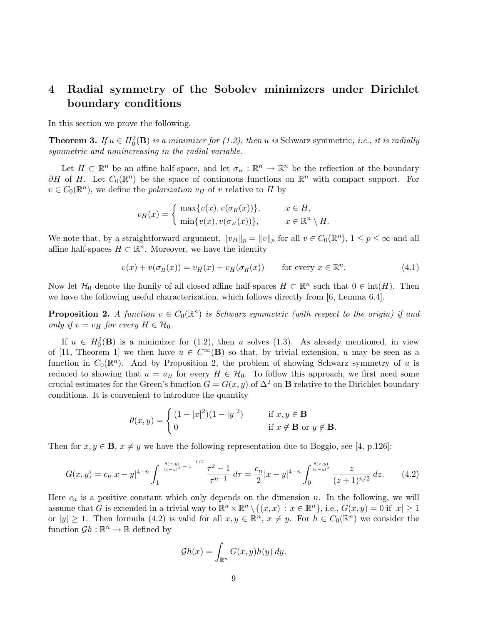# 4 Radial symmetry of the Sobolev minimizers under Dirichlet boundary conditions

In this section we prove the following.

**Theorem 3.** If  $u \in H_0^2(\mathbf{B})$  is a minimizer for (1.2), then u is Schwarz symmetric, i.e., it is radially symmetric and nonincreasing in the radial variable.

Let  $H \subset \mathbb{R}^n$  be an affine half-space, and let  $\sigma_H : \mathbb{R}^n \to \mathbb{R}^n$  be the reflection at the boundary  $\partial H$  of H. Let  $C_0(\mathbb{R}^n)$  be the space of continuous functions on  $\mathbb{R}^n$  with compact support. For  $v \in C_0(\mathbb{R}^n)$ , we define the *polarization*  $v_H$  of v relative to H by

$$
v_H(x) = \begin{cases} \max\{v(x), v(\sigma_H(x))\}, & x \in H, \\ \min\{v(x), v(\sigma_H(x))\}, & x \in \mathbb{R}^n \setminus H. \end{cases}
$$

We note that, by a straightforward argument,  $||v_H||_p = ||v||_p$  for all  $v \in C_0(\mathbb{R}^n)$ ,  $1 \leq p \leq \infty$  and all affine half-spaces  $H \subset \mathbb{R}^n$ . Moreover, we have the identity

$$
v(x) + v(\sigma_H(x)) = v_H(x) + v_H(\sigma_H(x)) \quad \text{for every } x \in \mathbb{R}^n.
$$
 (4.1)

Now let  $\mathcal{H}_0$  denote the family of all closed affine half-spaces  $H \subset \mathbb{R}^n$  such that  $0 \in \text{int}(H)$ . Then we have the following useful characterization, which follows directly from [6, Lemma 6.4].

**Proposition 2.** A function  $v \in C_0(\mathbb{R}^n)$  is Schwarz symmetric (with respect to the origin) if and only if  $v = v_H$  for every  $H \in \mathcal{H}_0$ .

If  $u \in H_0^2(\mathbf{B})$  is a minimizer for (1.2), then u solves (1.3). As already mentioned, in view of [11, Theorem 1] we then have  $u \in C^{\infty}(\overline{B})$  so that, by trivial extension, u may be seen as a function in  $C_0(\mathbb{R}^n)$ . And by Proposition 2, the problem of showing Schwarz symmetry of u is reduced to showing that  $u = u_H$  for every  $H \in \mathcal{H}_0$ . To follow this approach, we first need some crucial estimates for the Green's function  $G = G(x, y)$  of  $\Delta^2$  on **B** relative to the Dirichlet boundary conditions. It is convenient to introduce the quantity

$$
\theta(x,y) = \begin{cases} (1-|x|^2)(1-|y|^2) & \text{if } x, y \in \mathbf{B} \\ 0 & \text{if } x \notin \mathbf{B} \text{ or } y \notin \mathbf{B}. \end{cases}
$$

Then for  $x, y \in \mathbf{B}$ ,  $x \neq y$  we have the following representation due to Boggio, see [4, p.126]:

$$
G(x,y) = c_n |x-y|^{4-n} \int_1^{\frac{\theta(x,y)}{|x-y|^2}+1} \frac{\tau^2-1}{\tau^{n-1}} d\tau = \frac{c_n}{2} |x-y|^{4-n} \int_0^{\frac{\theta(x,y)}{|x-y|^2}} \frac{z}{(z+1)^{n/2}} dz.
$$
 (4.2)

Here  $c_n$  is a positive constant which only depends on the dimension n. In the following, we will assume that G is extended in a trivial way to  $\mathbb{R}^n \times \mathbb{R}^n \setminus \{(x,x) : x \in \mathbb{R}^n\},\$  i.e.,  $G(x,y) = 0$  if  $|x| \geq 1$ or  $|y| \geq 1$ . Then formula (4.2) is valid for all  $x, y \in \mathbb{R}^n$ ,  $x \neq y$ . For  $h \in C_0(\mathbb{R}^n)$  we consider the function  $\mathcal{G}h : \mathbb{R}^n \to \mathbb{R}$  defined by

$$
\mathcal{G}h(x) = \int_{\mathbb{R}^n} G(x, y)h(y) \, dy.
$$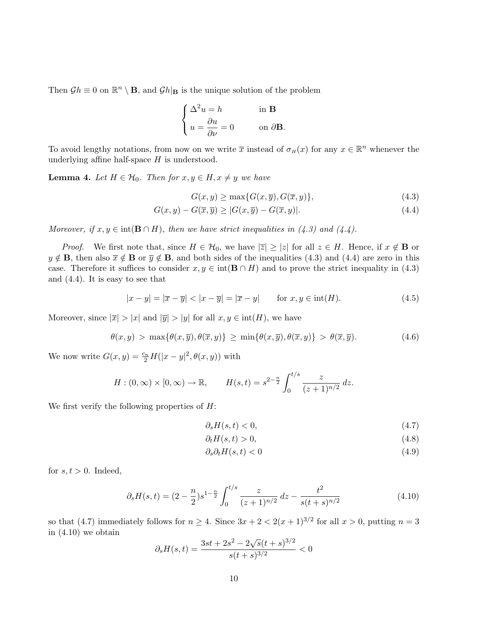Then  $\mathcal{G}h \equiv 0$  on  $\mathbb{R}^n \setminus \mathbf{B}$ , and  $\mathcal{G}h|_{\mathbf{B}}$  is the unique solution of the problem

$$
\begin{cases} \Delta^2 u = h & \text{in } \mathbf{B} \\ u = \frac{\partial u}{\partial \nu} = 0 & \text{on } \partial \mathbf{B}. \end{cases}
$$

To avoid lengthy notations, from now on we write  $\bar{x}$  instead of  $\sigma_H(x)$  for any  $x \in \mathbb{R}^n$  whenever the underlying affine half-space  $H$  is understood.

**Lemma 4.** Let  $H \in \mathcal{H}_0$ . Then for  $x, y \in H, x \neq y$  we have

$$
G(x, y) \ge \max\{G(x, \overline{y}), G(\overline{x}, y)\},\tag{4.3}
$$

$$
G(x, y) - G(\overline{x}, \overline{y}) \ge |G(x, \overline{y}) - G(\overline{x}, y)|. \tag{4.4}
$$

Moreover, if  $x, y \in \text{int}(\mathbf{B} \cap H)$ , then we have strict inequalities in (4.3) and (4.4).

*Proof.* We first note that, since  $H \in \mathcal{H}_0$ , we have  $|\overline{z}| \ge |z|$  for all  $z \in H$ . Hence, if  $x \notin \mathbf{B}$  or  $y \notin \mathbf{B}$ , then also  $\overline{x} \notin \mathbf{B}$  or  $\overline{y} \notin \mathbf{B}$ , and both sides of the inequalities (4.3) and (4.4) are zero in this case. Therefore it suffices to consider  $x, y \in \text{int}(\mathbf{B} \cap H)$  and to prove the strict inequality in (4.3) and (4.4). It is easy to see that

$$
|x - y| = |\overline{x} - \overline{y}| < |x - \overline{y}| = |\overline{x} - y| \qquad \text{for } x, y \in \text{int}(H). \tag{4.5}
$$

Moreover, since  $|\overline{x}| > |x|$  and  $|\overline{y}| > |y|$  for all  $x, y \in \text{int}(H)$ , we have

$$
\theta(x,y) > \max\{\theta(x,\overline{y}),\theta(\overline{x},y)\} \ge \min\{\theta(x,\overline{y}),\theta(\overline{x},y)\} > \theta(\overline{x},\overline{y}).
$$
\n(4.6)

We now write  $G(x, y) = \frac{c_n}{2} H(|x - y|^2, \theta(x, y))$  with

$$
H: (0, \infty) \times [0, \infty) \to \mathbb{R},
$$
  $H(s,t) = s^{2-\frac{n}{2}} \int_0^{t/s} \frac{z}{(z+1)^{n/2}} dz.$ 

We first verify the following properties of  $H$ :

$$
\partial_s H(s, t) < 0,\tag{4.7}
$$

$$
\partial_t H(s, t) > 0,\tag{4.8}
$$

$$
\partial_s \partial_t H(s, t) < 0 \tag{4.9}
$$

for  $s, t > 0$ . Indeed,

$$
\partial_s H(s,t) = (2 - \frac{n}{2})s^{1 - \frac{n}{2}} \int_0^{t/s} \frac{z}{(z+1)^{n/2}} dz - \frac{t^2}{s(t+s)^{n/2}} \tag{4.10}
$$

so that (4.7) immediately follows for  $n \geq 4$ . Since  $3x + 2 < 2(x+1)^{3/2}$  for all  $x > 0$ , putting  $n = 3$ in (4.10) we obtain √

$$
\partial_s H(s,t) = \frac{3st + 2s^2 - 2\sqrt{s}(t+s)^{3/2}}{s(t+s)^{3/2}} < 0
$$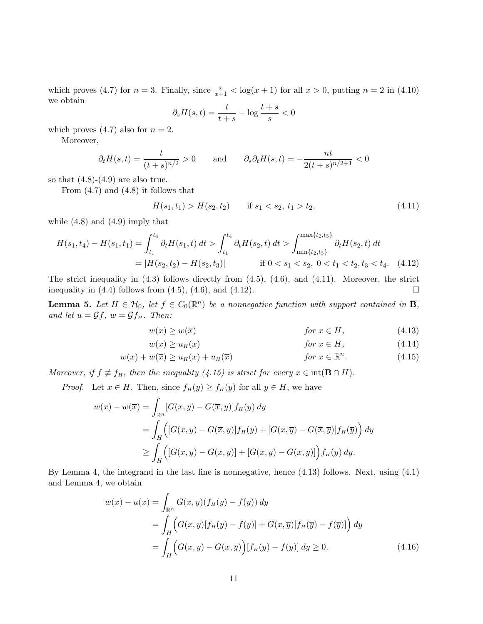which proves (4.7) for  $n = 3$ . Finally, since  $\frac{x}{x+1} < \log(x+1)$  for all  $x > 0$ , putting  $n = 2$  in (4.10) we obtain

$$
\partial_s H(s,t) = \frac{t}{t+s} - \log \frac{t+s}{s} < 0
$$

which proves  $(4.7)$  also for  $n = 2$ .

Moreover,

$$
\partial_t H(s,t) = \frac{t}{(t+s)^{n/2}} > 0
$$
 and  $\partial_s \partial_t H(s,t) = -\frac{nt}{2(t+s)^{n/2+1}} < 0$ 

so that  $(4.8)-(4.9)$  are also true.

From  $(4.7)$  and  $(4.8)$  it follows that

$$
H(s_1, t_1) > H(s_2, t_2) \qquad \text{if } s_1 < s_2, \ t_1 > t_2,\tag{4.11}
$$

while (4.8) and (4.9) imply that

<sup>H</sup>(s1, t4) <sup>−</sup> <sup>H</sup>(s1, t1) = <sup>Z</sup> <sup>t</sup><sup>4</sup> t1 <sup>∂</sup>tH(s1, t) dt > <sup>Z</sup> <sup>t</sup><sup>4</sup> t1 <sup>∂</sup>tH(s2, t) dt > <sup>Z</sup> max{t2,t3} min{t2,t3} ∂tH(s2, t) dt = |H(s2, t2) − H(s2, t3)| if 0 < s<sup>1</sup> < s2, 0 < t<sup>1</sup> < t2, t<sup>3</sup> < t4. (4.12)

The strict inequality in (4.3) follows directly from (4.5), (4.6), and (4.11). Moreover, the strict inequality in  $(4.4)$  follows from  $(4.5)$ ,  $(4.6)$ , and  $(4.12)$ .

**Lemma 5.** Let  $H \in H_0$ , let  $f \in C_0(\mathbb{R}^n)$  be a nonnegative function with support contained in  $\overline{B}$ , and let  $u = \mathcal{G}f$ ,  $w = \mathcal{G}f_H$ . Then:

$$
w(x) \ge w(\overline{x}) \qquad \qquad \text{for } x \in H,
$$
\n
$$
(4.13)
$$

$$
w(x) \ge u_H(x) \qquad \qquad \text{for } x \in H,\tag{4.14}
$$

$$
w(x) + w(\overline{x}) \ge u_H(x) + u_H(\overline{x})
$$
 for  $x \in \mathbb{R}^n$ . (4.15)

Moreover, if  $f \not\equiv f_H$ , then the inequality (4.15) is strict for every  $x \in \text{int}(\mathbf{B} \cap H)$ .

*Proof.* Let  $x \in H$ . Then, since  $f_H(y) \ge f_H(\overline{y})$  for all  $y \in H$ , we have

$$
w(x) - w(\overline{x}) = \int_{\mathbb{R}^n} [G(x, y) - G(\overline{x}, y)] f_H(y) dy
$$
  
= 
$$
\int_H \left( [G(x, y) - G(\overline{x}, y)] f_H(y) + [G(x, \overline{y}) - G(\overline{x}, \overline{y})] f_H(\overline{y}) \right) dy
$$
  

$$
\geq \int_H \left( [G(x, y) - G(\overline{x}, y)] + [G(x, \overline{y}) - G(\overline{x}, \overline{y})] \right) f_H(\overline{y}) dy.
$$

By Lemma 4, the integrand in the last line is nonnegative, hence (4.13) follows. Next, using (4.1) and Lemma 4, we obtain

$$
w(x) - u(x) = \int_{\mathbb{R}^n} G(x, y)(f_H(y) - f(y)) dy
$$
  
= 
$$
\int_H \left( G(x, y)[f_H(y) - f(y)] + G(x, \overline{y})[f_H(\overline{y}) - f(\overline{y})] \right) dy
$$
  
= 
$$
\int_H \left( G(x, y) - G(x, \overline{y}) \right) [f_H(y) - f(y)] dy \ge 0.
$$
 (4.16)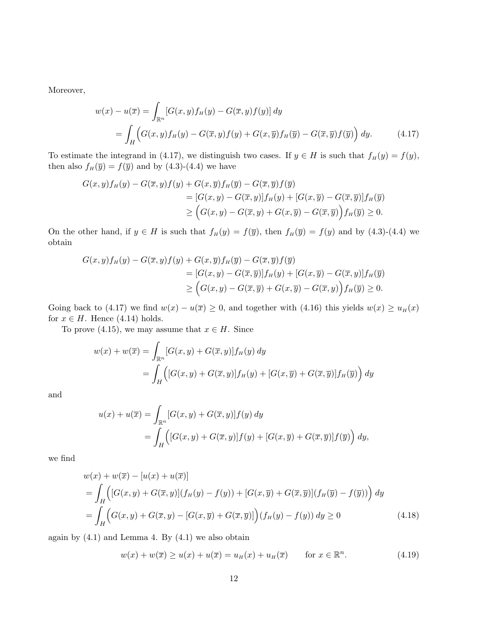Moreover,

$$
w(x) - u(\overline{x}) = \int_{\mathbb{R}^n} [G(x, y) f_H(y) - G(\overline{x}, y) f(y)] dy
$$
  
= 
$$
\int_H \left( G(x, y) f_H(y) - G(\overline{x}, y) f(y) + G(x, \overline{y}) f_H(\overline{y}) - G(\overline{x}, \overline{y}) f(\overline{y}) \right) dy.
$$
 (4.17)

To estimate the integrand in (4.17), we distinguish two cases. If  $y \in H$  is such that  $f_H(y) = f(y)$ , then also  $f_H(\overline{y}) = f(\overline{y})$  and by (4.3)-(4.4) we have

$$
G(x,y)fH(y) - G(\overline{x},y)f(y) + G(x,\overline{y})fH(\overline{y}) - G(\overline{x},\overline{y})f(\overline{y})
$$
  
= 
$$
[G(x,y) - G(\overline{x},y)]fH(y) + [G(x,\overline{y}) - G(\overline{x},\overline{y})]fH(\overline{y})
$$
  

$$
\geq (G(x,y) - G(\overline{x},y) + G(x,\overline{y}) - G(\overline{x},\overline{y}))fH(\overline{y}) \geq 0.
$$

On the other hand, if  $y \in H$  is such that  $f_H(y) = f(\overline{y})$ , then  $f_H(\overline{y}) = f(y)$  and by (4.3)-(4.4) we obtain

$$
G(x,y)fH(y) - G(\overline{x},y)f(y) + G(x,\overline{y})fH(\overline{y}) - G(\overline{x},\overline{y})f(\overline{y})
$$
  
= 
$$
[G(x,y) - G(\overline{x},\overline{y})]fH(y) + [G(x,\overline{y}) - G(\overline{x},y)]fH(\overline{y})
$$
  

$$
\geq (G(x,y) - G(\overline{x},\overline{y}) + G(x,\overline{y}) - G(\overline{x},y))fH(\overline{y}) \geq 0.
$$

Going back to (4.17) we find  $w(x) - u(\overline{x}) \ge 0$ , and together with (4.16) this yields  $w(x) \ge u_H(x)$ for  $x \in H$ . Hence (4.14) holds.

To prove (4.15), we may assume that  $x \in H$ . Since

$$
w(x) + w(\overline{x}) = \int_{\mathbb{R}^n} [G(x, y) + G(\overline{x}, y)] f_H(y) dy
$$
  
= 
$$
\int_H \left( [G(x, y) + G(\overline{x}, y)] f_H(y) + [G(x, \overline{y}) + G(\overline{x}, \overline{y})] f_H(\overline{y}) \right) dy
$$

and

$$
u(x) + u(\overline{x}) = \int_{\mathbb{R}^n} [G(x, y) + G(\overline{x}, y)] f(y) dy
$$
  
= 
$$
\int_H \left( [G(x, y) + G(\overline{x}, y)] f(y) + [G(x, \overline{y}) + G(\overline{x}, \overline{y})] f(\overline{y}) \right) dy,
$$

we find

$$
w(x) + w(\overline{x}) - [u(x) + u(\overline{x})]
$$
  
= 
$$
\int_{H} \left( [G(x, y) + G(\overline{x}, y)](f_{H}(y) - f(y)) + [G(x, \overline{y}) + G(\overline{x}, \overline{y})](f_{H}(\overline{y}) - f(\overline{y})) \right) dy
$$
  
= 
$$
\int_{H} \left( G(x, y) + G(\overline{x}, y) - [G(x, \overline{y}) + G(\overline{x}, \overline{y})] \right) (f_{H}(y) - f(y)) dy \ge 0
$$
 (4.18)

again by  $(4.1)$  and Lemma 4. By  $(4.1)$  we also obtain

$$
w(x) + w(\overline{x}) \ge u(x) + u(\overline{x}) = u_H(x) + u_H(\overline{x}) \quad \text{for } x \in \mathbb{R}^n.
$$
 (4.19)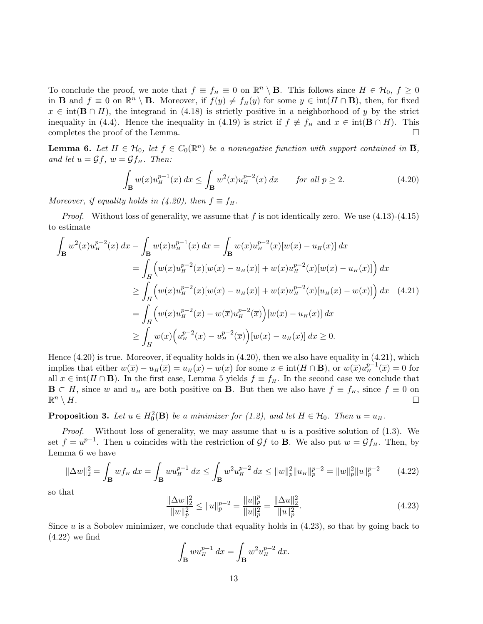To conclude the proof, we note that  $f \equiv f_H \equiv 0$  on  $\mathbb{R}^n \setminus \mathbf{B}$ . This follows since  $H \in \mathcal{H}_0$ ,  $f \ge 0$ in **B** and  $f \equiv 0$  on  $\mathbb{R}^n \setminus \mathbf{B}$ . Moreover, if  $f(y) \neq f_H(y)$  for some  $y \in \text{int}(H \cap \mathbf{B})$ , then, for fixed  $x \in \text{int}(\mathbf{B} \cap H)$ , the integrand in (4.18) is strictly positive in a neighborhood of y by the strict inequality in (4.4). Hence the inequality in (4.19) is strict if  $f \neq f_H$  and  $x \in \text{int}(\mathbf{B} \cap H)$ . This completes the proof of the Lemma.  $\Box$ 

**Lemma 6.** Let  $H \in H_0$ , let  $f \in C_0(\mathbb{R}^n)$  be a nonnegative function with support contained in  $\overline{B}$ , and let  $u = \mathcal{G}f$ ,  $w = \mathcal{G}f_H$ . Then:

$$
\int_{\mathbf{B}} w(x) u_H^{p-1}(x) dx \le \int_{\mathbf{B}} w^2(x) u_H^{p-2}(x) dx \quad \text{for all } p \ge 2.
$$
 (4.20)

Moreover, if equality holds in (4.20), then  $f \equiv f_H$ .

*Proof.* Without loss of generality, we assume that f is not identically zero. We use  $(4.13)-(4.15)$ to estimate

$$
\int_{\mathbf{B}} w^{2}(x) u_{H}^{p-2}(x) dx - \int_{\mathbf{B}} w(x) u_{H}^{p-1}(x) dx = \int_{\mathbf{B}} w(x) u_{H}^{p-2}(x) [w(x) - u_{H}(x)] dx
$$
\n
$$
= \int_{H} \left( w(x) u_{H}^{p-2}(x) [w(x) - u_{H}(x)] + w(\overline{x}) u_{H}^{p-2}(\overline{x}) [w(\overline{x}) - u_{H}(\overline{x})] \right) dx
$$
\n
$$
\geq \int_{H} \left( w(x) u_{H}^{p-2}(x) [w(x) - u_{H}(x)] + w(\overline{x}) u_{H}^{p-2}(\overline{x}) [u_{H}(x) - w(x)] \right) dx \quad (4.21)
$$
\n
$$
= \int_{H} \left( w(x) u_{H}^{p-2}(x) - w(\overline{x}) u_{H}^{p-2}(\overline{x}) \right) [w(x) - u_{H}(x)] dx
$$
\n
$$
\geq \int_{H} w(x) \left( u_{H}^{p-2}(x) - u_{H}^{p-2}(\overline{x}) \right) [w(x) - u_{H}(x)] dx \geq 0.
$$

Hence (4.20) is true. Moreover, if equality holds in (4.20), then we also have equality in (4.21), which implies that either  $w(\overline{x}) - u_H(\overline{x}) = u_H(x) - w(x)$  for some  $x \in \text{int}(H \cap \mathbf{B})$ , or  $w(\overline{x})u_H^{p-1}(\overline{x}) = 0$  for all  $x \in \text{int}(H \cap \mathbf{B})$ . In the first case, Lemma 5 yields  $f \equiv f_H$ . In the second case we conclude that  $\mathbf{B} \subset H$ , since w and  $u_H$  are both positive on **B**. But then we also have  $f \equiv f_H$ , since  $f \equiv 0$  on  $\mathbb{R}^n \setminus H$ .  $n \setminus H$ .

**Proposition 3.** Let  $u \in H_0^2(\mathbf{B})$  be a minimizer for (1.2), and let  $H \in \mathcal{H}_0$ . Then  $u = u_H$ .

*Proof.* Without loss of generality, we may assume that u is a positive solution of  $(1.3)$ . We set  $f = u^{p-1}$ . Then u coincides with the restriction of  $\mathcal{G}f$  to **B**. We also put  $w = \mathcal{G}f_H$ . Then, by Lemma 6 we have

$$
\|\Delta w\|_2^2 = \int_{\mathbf{B}} w f_H \, dx = \int_{\mathbf{B}} w u_H^{p-1} \, dx \le \int_{\mathbf{B}} w^2 u_H^{p-2} \, dx \le \|w\|_p^2 \|u_H\|_p^{p-2} = \|w\|_p^2 \|u\|_p^{p-2} \tag{4.22}
$$

so that

$$
\frac{\|\Delta w\|_2^2}{\|w\|_p^2} \le \|u\|_p^{p-2} = \frac{\|u\|_p^p}{\|u\|_p^2} = \frac{\|\Delta u\|_2^2}{\|u\|_p^2}.
$$
\n(4.23)

Since  $u$  is a Sobolev minimizer, we conclude that equality holds in  $(4.23)$ , so that by going back to (4.22) we find

$$
\int_{\mathbf{B}} w u_H^{p-1} dx = \int_{\mathbf{B}} w^2 u_H^{p-2} dx.
$$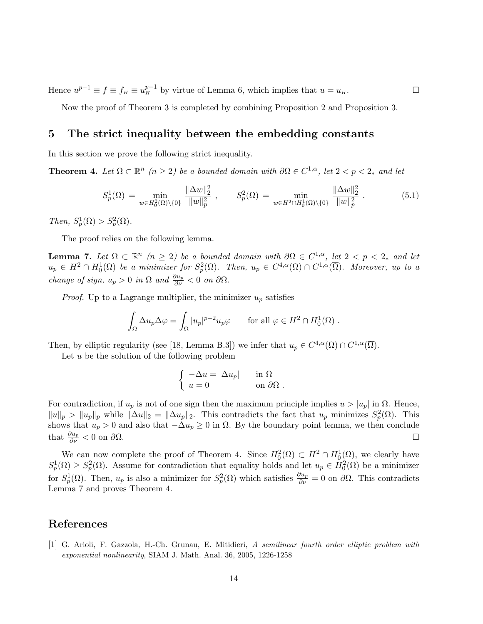Hence  $u^{p-1} \equiv f \equiv f_H \equiv u_H^{p-1}$  by virtue of Lemma 6, which implies that  $u = u_H$ .

Now the proof of Theorem 3 is completed by combining Proposition 2 and Proposition 3.

## 5 The strict inequality between the embedding constants

In this section we prove the following strict inequality.

**Theorem 4.** Let  $\Omega \subset \mathbb{R}^n$  ( $n \geq 2$ ) be a bounded domain with  $\partial \Omega \in C^{1,\alpha}$ , let  $2 < p < 2_*$  and let

$$
S_p^1(\Omega) = \min_{w \in H_0^2(\Omega) \setminus \{0\}} \frac{\|\Delta w\|_2^2}{\|w\|_p^2}, \qquad S_p^2(\Omega) = \min_{w \in H^2 \cap H_0^1(\Omega) \setminus \{0\}} \frac{\|\Delta w\|_2^2}{\|w\|_p^2}.
$$
 (5.1)

Then,  $S_p^1(\Omega) > S_p^2(\Omega)$ .

The proof relies on the following lemma.

**Lemma 7.** Let  $\Omega \subset \mathbb{R}^n$  ( $n \geq 2$ ) be a bounded domain with  $\partial \Omega \in C^{1,\alpha}$ , let  $2 < p < 2_*$  and let  $u_p \in H^2 \cap H_0^1(\Omega)$  be a minimizer for  $S_p^2(\Omega)$ . Then,  $u_p \in C^{4,\alpha}(\Omega) \cap C^{1,\alpha}(\overline{\Omega})$ . Moreover, up to a change of sign,  $u_p > 0$  in  $\Omega$  and  $\frac{\partial u_p}{\partial \nu} < 0$  on  $\partial \Omega$ .

*Proof.* Up to a Lagrange multiplier, the minimizer  $u_p$  satisfies

$$
\int_{\Omega} \Delta u_p \Delta \varphi = \int_{\Omega} |u_p|^{p-2} u_p \varphi \quad \text{for all } \varphi \in H^2 \cap H_0^1(\Omega) .
$$

Then, by elliptic regularity (see [18, Lemma B.3]) we infer that  $u_p \in C^{4,\alpha}(\Omega) \cap C^{1,\alpha}(\overline{\Omega})$ .

Let  $u$  be the solution of the following problem

$$
\begin{cases}\n-\Delta u = |\Delta u_p| & \text{in } \Omega \\
u = 0 & \text{on } \partial\Omega\n\end{cases}
$$

For contradiction, if  $u_p$  is not of one sign then the maximum principle implies  $u > |u_p|$  in  $\Omega$ . Hence,  $||u||_p > ||u_p||_p$  while  $||\Delta u||_2 = ||\Delta u_p||_2$ . This contradicts the fact that  $u_p$  minimizes  $S_p^2(\Omega)$ . This shows that  $u_p > 0$  and also that  $-\Delta u_p \geq 0$  in  $\Omega$ . By the boundary point lemma, we then conclude that  $\frac{\partial u_p}{\partial \nu} < 0$  on  $\partial \Omega$ .

We can now complete the proof of Theorem 4. Since  $H_0^2(\Omega) \subset H^2 \cap H_0^1(\Omega)$ , we clearly have  $S_p^1(\Omega) \geq S_p^2(\Omega)$ . Assume for contradiction that equality holds and let  $u_p \in H_0^2(\Omega)$  be a minimizer for  $S_p^1(\Omega)$ . Then,  $u_p$  is also a minimizer for  $S_p^2(\Omega)$  which satisfies  $\frac{\partial u_p}{\partial \nu} = 0$  on  $\partial \Omega$ . This contradicts Lemma 7 and proves Theorem 4.

## References

[1] G. Arioli, F. Gazzola, H.-Ch. Grunau, E. Mitidieri, A semilinear fourth order elliptic problem with exponential nonlinearity, SIAM J. Math. Anal. 36, 2005, 1226-1258